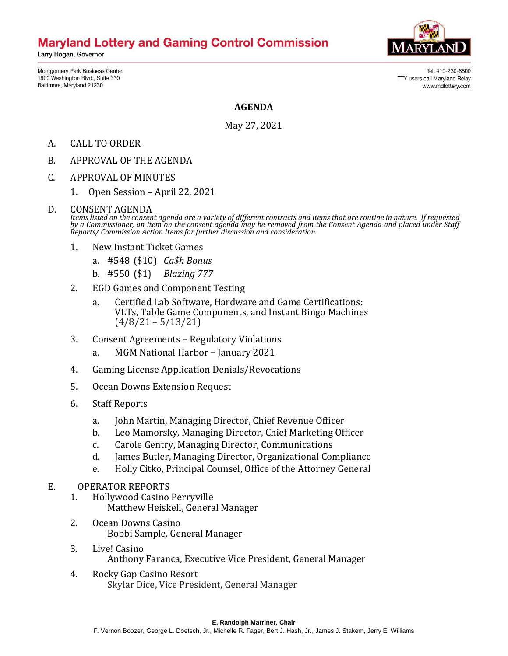# **Maryland Lottery and Gaming Control Commission**

Larry Hogan, Governor

Montgomery Park Business Center 1800 Washington Blvd., Suite 330 Baltimore, Maryland 21230



Tel: 410-230-8800 TTY users call Maryland Relay www.mdlottery.com

## **AGENDA**

May 27, 2021

- A. CALL TO ORDER
- B. APPROVAL OF THE AGENDA
- C. APPROVAL OF MINUTES
	- 1. Open Session April 22, 2021

#### D. CONSENT AGENDA

*Items listed on the consent agenda are a variety of different contracts and items that are routine in nature. If requested by a Commissioner, an item on the consent agenda may be removed from the Consent Agenda and placed under Staff Reports/ Commission Action Items for further discussion and consideration.*

- 1. New Instant Ticket Games
	- a. #548 (\$10) *Ca\$h Bonus*
	- b. #550 (\$1) *Blazing 777*
- 2. EGD Games and Component Testing
	- a. Certified Lab Software, Hardware and Game Certifications: VLTs, Table Game Components, and Instant Bingo Machines  $(4/8/21 - 5/13/21)$
- 3. Consent Agreements Regulatory Violations
	- a. MGM National Harbor January 2021
- 4. Gaming License Application Denials/Revocations
- 5. Ocean Downs Extension Request
- 6. Staff Reports
	- a. John Martin, Managing Director, Chief Revenue Officer
	- b. Leo Mamorsky, Managing Director, Chief Marketing Officer
	- c. Carole Gentry, Managing Director, Communications
	- d. James Butler, Managing Director, Organizational Compliance
	- e. Holly Citko, Principal Counsel, Office of the Attorney General

## E. OPERATOR REPORTS

- 1. Hollywood Casino Perryville Matthew Heiskell, General Manager
- 2. Ocean Downs Casino Bobbi Sample, General Manager
- 3. Live! Casino Anthony Faranca, Executive Vice President, General Manager
- 4. Rocky Gap Casino Resort Skylar Dice, Vice President, General Manager